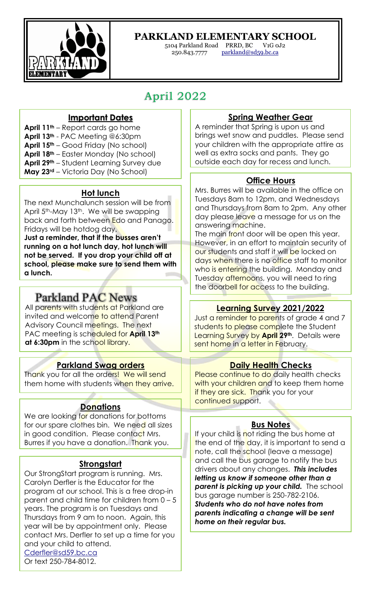

## **PARKLAND ELEMENTARY SCHOOL**

5104 Parkland Road PRRD, BC V1G 0J2 parkland@sd59.bc.ca

# April <sup>2022</sup>

#### **Important Dates**

- **April 11th** Report cards go home
- **April 13th** PAC Meeting @6:30pm
- **April 15th** Good Friday (No school)
- **April 18th** Easter Monday (No school)
- **April 29th** Student Learning Survey due
- **May 23rd** Victoria Day (No School)

#### **Hot lunch**

The next Munchalunch session will be from April 5<sup>th</sup>-May 13<sup>th</sup>. We will be swapping back and forth between Edo and Panago. Fridays will be hotdog day.

**Just a reminder, that if the busses aren't running on a hot lunch day, hot lunch will not be served. If you drop your child off at school, please make sure to send them with a lunch.** 

## **Parkland PAC News**

All parents with students at Parkland are invited and welcome to attend Parent Advisory Council meetings. The next PAC meeting is scheduled for **April 13th** at 6:30pm in the school library.

#### **Parkland Swag orders**

Thank you for all the orders! We will send them home with students when they arrive.

#### **Donations**

We are looking for donations for bottoms for our spare clothes bin. We need all sizes in good condition. Please contact Mrs. Burres if you have a donation. Thank you.

#### **Strongstart**

Our StrongStart program is running. Mrs. Carolyn Derfler is the Educator for the program at our school. This is a free drop-in parent and child time for children from 0 – 5 years. The program is on Tuesdays and Thursdays from 9 am to noon. Again, this year will be by appointment only. Please contact Mrs. Derfler to set up a time for you and your child to attend. Cderfler@sd59.bc.ca Or text 250-784-8012.

#### **Spring Weather Gear**

A reminder that Spring is upon us and brings wet snow and puddles. Please send your children with the appropriate attire as well as extra socks and pants. They go outside each day for recess and lunch.

#### **Office Hours**

Mrs. Burres will be available in the office on Tuesdays 8am to 12pm, and Wednesdays and Thursdays from 8am to 2pm. Any other day please leave a message for us on the answering machine.

The main front door will be open this year. However, in an effort to maintain security of our students and staff it will be locked on days when there is no office staff to monitor who is entering the building. Monday and Tuesday afternoons, you will need to ring the doorbell for access to the building.

#### **Learning Survey 2021/2022**

Just a reminder to parents of grade 4 and 7 students to please complete the Student Learning Survey by **April 29th**. Details were sent home in a letter in February.

#### **Daily Health Checks**

Please continue to do daily health checks with your children and to keep them home if they are sick. Thank you for your continued support.

#### **Bus Notes**

If your child is not riding the bus home at the end of the day, it is important to send a note, call the school (leave a message) and call the bus garage to notify the bus drivers about any changes. *This includes letting us know if someone other than a parent is picking up your child.* The school bus garage number is 250-782-2106. *Students who do not have notes from parents indicating a change will be sent home on their regular bus.*